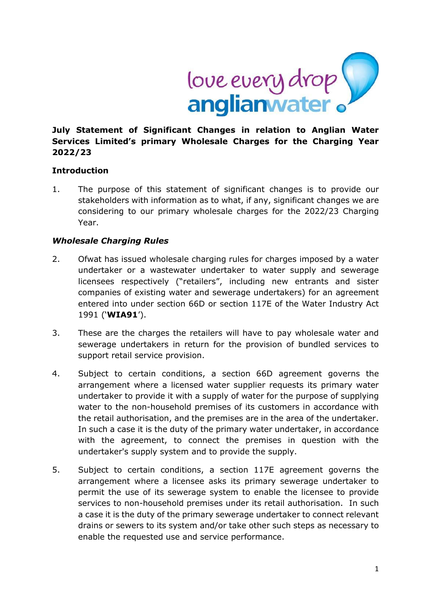

## **July Statement of Significant Changes in relation to Anglian Water Services Limited's primary Wholesale Charges for the Charging Year 2022/23**

### **Introduction**

1. The purpose of this statement of significant changes is to provide our stakeholders with information as to what, if any, significant changes we are considering to our primary wholesale charges for the 2022/23 Charging Year.

### *Wholesale Charging Rules*

- 2. Ofwat has issued wholesale charging rules for charges imposed by a water undertaker or a wastewater undertaker to water supply and sewerage licensees respectively ("retailers", including new entrants and sister companies of existing water and sewerage undertakers) for an agreement entered into under section 66D or section 117E of the Water Industry Act 1991 ('**WIA91**').
- 3. These are the charges the retailers will have to pay wholesale water and sewerage undertakers in return for the provision of bundled services to support retail service provision.
- 4. Subject to certain conditions, a section 66D agreement governs the arrangement where a licensed water supplier requests its primary water undertaker to provide it with a supply of water for the purpose of supplying water to the non-household premises of its customers in accordance with the retail authorisation, and the premises are in the area of the undertaker. In such a case it is the duty of the primary water undertaker, in accordance with the agreement, to connect the premises in question with the undertaker's supply system and to provide the supply.
- 5. Subject to certain conditions, a section 117E agreement governs the arrangement where a licensee asks its primary sewerage undertaker to permit the use of its sewerage system to enable the licensee to provide services to non-household premises under its retail authorisation. In such a case it is the duty of the primary sewerage undertaker to connect relevant drains or sewers to its system and/or take other such steps as necessary to enable the requested use and service performance.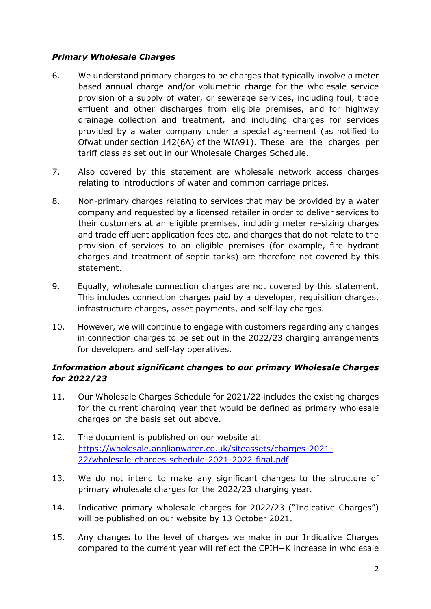# *Primary Wholesale Charges*

- 6. We understand primary charges to be charges that typically involve a meter based annual charge and/or volumetric charge for the wholesale service provision of a supply of water, or sewerage services, including foul, trade effluent and other discharges from eligible premises, and for highway drainage collection and treatment, and including charges for services provided by a water company under a special agreement (as notified to Ofwat under section 142(6A) of the WIA91). These are the charges per tariff class as set out in our Wholesale Charges Schedule.
- 7. Also covered by this statement are wholesale network access charges relating to introductions of water and common carriage prices.
- 8. Non-primary charges relating to services that may be provided by a water company and requested by a licensed retailer in order to deliver services to their customers at an eligible premises, including meter re-sizing charges and trade effluent application fees etc. and charges that do not relate to the provision of services to an eligible premises (for example, fire hydrant charges and treatment of septic tanks) are therefore not covered by this statement.
- 9. Equally, wholesale connection charges are not covered by this statement. This includes connection charges paid by a developer, requisition charges, infrastructure charges, asset payments, and self-lay charges.
- 10. However, we will continue to engage with customers regarding any changes in connection charges to be set out in the 2022/23 charging arrangements for developers and self-lay operatives.

# *Information about significant changes to our primary Wholesale Charges for 2022/23*

- 11. Our Wholesale Charges Schedule for 2021/22 includes the existing charges for the current charging year that would be defined as primary wholesale charges on the basis set out above.
- 12. The document is published on our website at: [https://wholesale.anglianwater.co.uk/siteassets/charges-2021-](https://wholesale.anglianwater.co.uk/siteassets/charges-2021-22/wholesale-charges-schedule-2021-2022-final.pdf) [22/wholesale-charges-schedule-2021-2022-final.pdf](https://wholesale.anglianwater.co.uk/siteassets/charges-2021-22/wholesale-charges-schedule-2021-2022-final.pdf)
- 13. We do not intend to make any significant changes to the structure of primary wholesale charges for the 2022/23 charging year.
- 14. Indicative primary wholesale charges for 2022/23 ("Indicative Charges") will be published on our website by 13 October 2021.
- 15. Any changes to the level of charges we make in our Indicative Charges compared to the current year will reflect the CPIH+K increase in wholesale